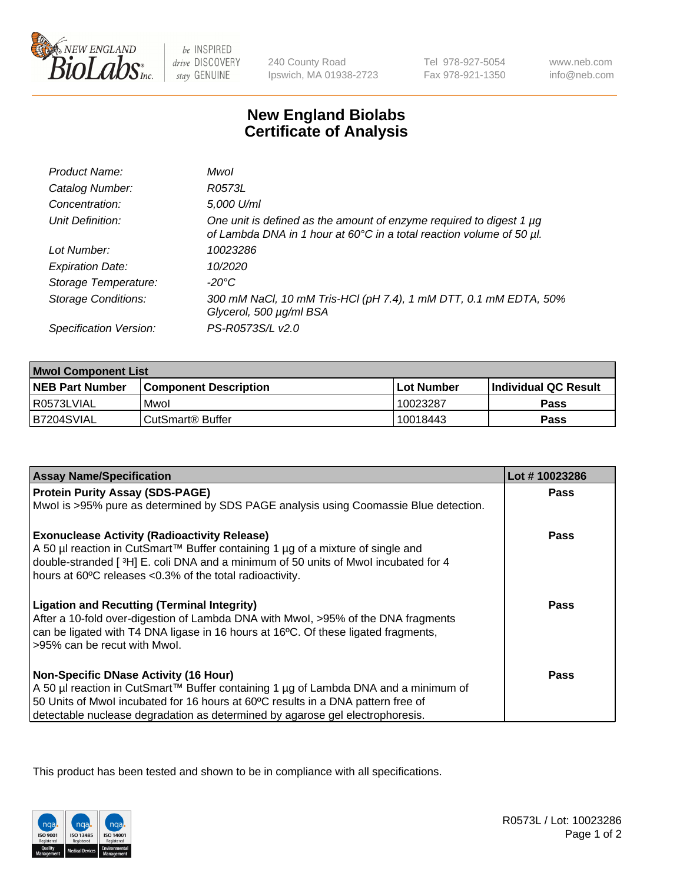

 $be$  INSPIRED drive DISCOVERY stay GENUINE

240 County Road Ipswich, MA 01938-2723 Tel 978-927-5054 Fax 978-921-1350

www.neb.com info@neb.com

## **New England Biolabs Certificate of Analysis**

| Product Name:              | Mwol                                                                                                                                             |
|----------------------------|--------------------------------------------------------------------------------------------------------------------------------------------------|
| Catalog Number:            | R0573L                                                                                                                                           |
| Concentration:             | 5,000 U/ml                                                                                                                                       |
| Unit Definition:           | One unit is defined as the amount of enzyme required to digest 1 $\mu$ g<br>of Lambda DNA in 1 hour at 60°C in a total reaction volume of 50 µl. |
| Lot Number:                | 10023286                                                                                                                                         |
| <b>Expiration Date:</b>    | 10/2020                                                                                                                                          |
| Storage Temperature:       | -20°C                                                                                                                                            |
| <b>Storage Conditions:</b> | 300 mM NaCl, 10 mM Tris-HCl (pH 7.4), 1 mM DTT, 0.1 mM EDTA, 50%<br>Glycerol, 500 µg/ml BSA                                                      |
| Specification Version:     | PS-R0573S/L v2.0                                                                                                                                 |

| <b>Mwol Component List</b> |                         |              |                             |  |
|----------------------------|-------------------------|--------------|-----------------------------|--|
| <b>NEB Part Number</b>     | l Component Description | l Lot Number | <b>Individual QC Result</b> |  |
| I R0573LVIAL               | Mwol                    | 10023287     | Pass                        |  |
| IB7204SVIAL                | l CutSmart® Buffer      | 10018443     | Pass                        |  |

| <b>Assay Name/Specification</b>                                                      | Lot #10023286 |
|--------------------------------------------------------------------------------------|---------------|
| <b>Protein Purity Assay (SDS-PAGE)</b>                                               | <b>Pass</b>   |
| Mwol is >95% pure as determined by SDS PAGE analysis using Coomassie Blue detection. |               |
| <b>Exonuclease Activity (Radioactivity Release)</b>                                  | Pass          |
| A 50 µl reaction in CutSmart™ Buffer containing 1 µg of a mixture of single and      |               |
| double-stranded [3H] E. coli DNA and a minimum of 50 units of Mwol incubated for 4   |               |
| hours at 60°C releases <0.3% of the total radioactivity.                             |               |
| <b>Ligation and Recutting (Terminal Integrity)</b>                                   | Pass          |
| After a 10-fold over-digestion of Lambda DNA with Mwol, >95% of the DNA fragments    |               |
| can be ligated with T4 DNA ligase in 16 hours at 16°C. Of these ligated fragments,   |               |
| >95% can be recut with Mwol.                                                         |               |
| <b>Non-Specific DNase Activity (16 Hour)</b>                                         | Pass          |
| A 50 µl reaction in CutSmart™ Buffer containing 1 µg of Lambda DNA and a minimum of  |               |
| 50 Units of Mwol incubated for 16 hours at 60°C results in a DNA pattern free of     |               |
| detectable nuclease degradation as determined by agarose gel electrophoresis.        |               |

This product has been tested and shown to be in compliance with all specifications.